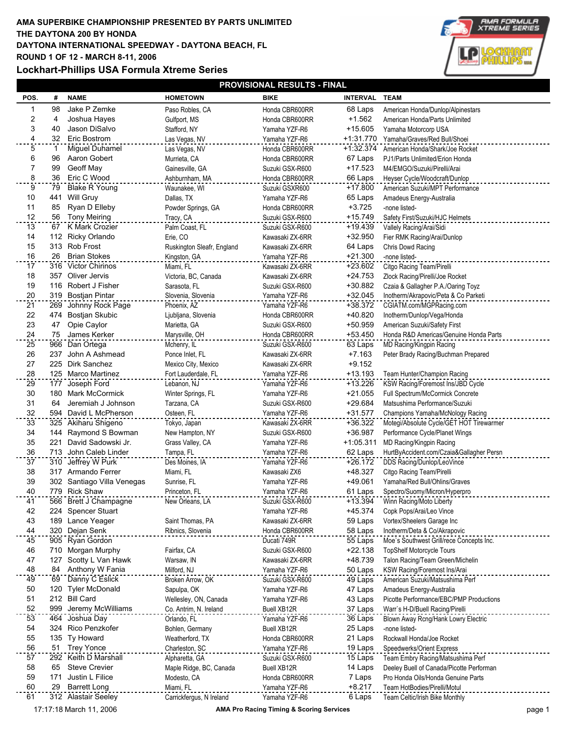## **AMA SUPERBIKE CHAMPIONSHIP PRESENTED BY PARTS UNLIMITED DAYTONA INTERNATIONAL SPEEDWAY - DAYTONA BEACH, FL ROUND 1 OF 12 - MARCH 8-11, 2006 THE DAYTONA 200 BY HONDA**

**Lockhart-Phillips USA Formula Xtreme Series**



| <b>PROVISIONAL RESULTS - FINAL</b> |     |                                            |                                            |                                    |                        |                                                            |  |  |
|------------------------------------|-----|--------------------------------------------|--------------------------------------------|------------------------------------|------------------------|------------------------------------------------------------|--|--|
| POS.                               | #   | <b>NAME</b>                                | <b>HOMETOWN</b>                            | <b>BIKE</b>                        | INTERVAL TEAM          |                                                            |  |  |
| 1                                  | 98  | Jake P Zemke                               | Paso Robles, CA                            | Honda CBR600RR                     | 68 Laps                | American Honda/Dunlop/Alpinestars                          |  |  |
| $\overline{\mathbf{c}}$            | 4   | Joshua Hayes                               | Gulfport, MS                               | Honda CBR600RR                     | $+1.562$               | American Honda/Parts Unlimited                             |  |  |
| 3                                  | 40  | Jason DiSalvo                              | Stafford, NY                               | Yamaha YZF-R6                      | $+15.605$              | Yamaha Motorcorp USA                                       |  |  |
| $\overline{4}$                     | 32  | Eric Bostrom                               | Las Vegas, NV                              | Yamaha YZF-R6                      | +1:31.770              | Yamaha/Graves/Red Bull/Shoei                               |  |  |
| $\overline{5}$                     | 1   | Miguel Duhamel                             | Las Vegas, NV                              | Honda CBR600RR                     |                        | +1:32.374 American Honda/Shark/Joe Rocket                  |  |  |
| 6                                  | 96  | Aaron Gobert                               | Murrieta, CA                               | Honda CBR600RR                     | 67 Laps                | PJ1/Parts Unlimited/Erion Honda                            |  |  |
| $\overline{7}$                     | 99  | Geoff May                                  | Gainesville, GA                            | Suzuki GSX-R600                    | +17.523                | M4/EMGO/Suzuki/Pirelli/Arai                                |  |  |
| 8                                  | 36  | Eric C Wood                                | Ashburnham, MA                             | Honda CBR600RR                     | 66 Laps                | Heyser Cycle/Woodcraft/Dunlop                              |  |  |
| $\overline{9}$                     | 79  | <b>Blake R Young</b>                       | Waunakee, WI                               | Suzuki GSXR600                     | $+17.800$              | American Suzuki/MPT Performance                            |  |  |
| 10                                 | 441 | Will Gruy                                  | Dallas, TX                                 | Yamaha YZF-R6                      | 65 Laps                | Amadeus Energy-Australia                                   |  |  |
| 11                                 | 85  | Ryan D Elleby                              | Powder Springs, GA                         | Honda CBR600RR                     | $+3.725$               | -none listed-                                              |  |  |
| 12                                 | 56  | <b>Tony Meiring</b>                        | Tracy, CA                                  | Suzuki GSX-R600                    | $+15.749$              | Safety First/Suzuki/HJC Helmets                            |  |  |
| 13                                 | 67  | K Mark Crozier                             | Palm Coast, FL                             | Suzuki GSX-R600                    | +19.439                | Vallely Racing/Arai/Sidi                                   |  |  |
| 14                                 |     | 112 Ricky Orlando                          | Erie, CO                                   | Kawasaki ZX-6RR                    | +32.950                | Fier RMK Racing/Arai/Dunlop                                |  |  |
| 15<br>16                           | 26  | 313 Rob Frost<br><b>Brian Stokes</b>       | Ruskington Sleafr, England<br>Kingston, GA | Kawasaki ZX-6RR<br>Yamaha YZF-R6   | 64 Laps<br>$+21.300$   | Chris Dowd Racing<br>-none listed-                         |  |  |
| 17                                 |     | 316 Victor Chirinos                        | Miami, FL                                  |                                    | +23.602                | Citgo Racing Team/Pirelli                                  |  |  |
| 18                                 |     | 357 Oliver Jervis                          | Victoria, BC, Canada                       | Kawasaki ZX-6RR<br>Kawasaki ZX-6RR | $+24.753$              | Zlock Racing/Pirelli/Joe Rocket                            |  |  |
| 19                                 |     | 116 Robert J Fisher                        | Sarasota, FL                               | Suzuki GSX-R600                    | +30.882                | Czaia & Gallagher P.A./Oaring Toyz                         |  |  |
| 20                                 |     | 319 Bostjan Pintar                         | Slovenia, Slovenia                         | Yamaha YZF-R6                      | $+32.045$              | Inotherm/Akrapovic/Peta & Co Parketi                       |  |  |
| 21                                 | 269 | Johnny Rock Page                           | Phoenix, AZ                                | Yamaha YZF-R6                      | +38.372                | CGIATM.com/MGPRacing.com                                   |  |  |
| 22                                 | 474 | Bostjan Skubic                             | Ljubljana, Slovenia                        | Honda CBR600RR                     | +40.820                | Inotherm/Dunlop/Vega/Honda                                 |  |  |
| 23                                 | 47  | Opie Caylor                                | Marietta, GA                               | Suzuki GSX-R600                    | +50.959                | American Suzuki/Safety First                               |  |  |
| 24                                 | 75  | James Kerker                               | Marysville, OH                             | Honda CBR600RR                     | +53.450                | Honda R&D Americas/Genuine Honda Parts                     |  |  |
| 25                                 |     | 966 Dan Ortega                             | Mchenry, IL                                | Suzuki GSX-R600                    | 63 Laps                | MD Racing/Kingpin Racing                                   |  |  |
| 26                                 |     | 237 John A Ashmead                         | Ponce Inlet, FL                            | Kawasaki ZX-6RR                    | $+7.163$               | Peter Brady Racing/Buchman Prepared                        |  |  |
| 27                                 |     | 225 Dirk Sanchez                           | Mexico City, Mexico                        | Kawasaki ZX-6RR                    | $+9.152$               |                                                            |  |  |
| 28                                 |     | 125 Marco Martinez                         | Fort Lauderdale, FL                        | Yamaha YZF-R6                      | $+13.193$              | Team Hunter/Champion Racing                                |  |  |
| 29                                 | 177 | Joseph Ford                                | Lebanon, NJ                                | Yamaha YZF-R6                      | $+13.226$              | KSW Racing/Foremost Ins/JBD Cycle                          |  |  |
| 30                                 |     | 180 Mark McCormick                         | Winter Springs, FL                         | Yamaha YZF-R6                      | $+21.055$              | Full Spectrum/McCormick Concrete                           |  |  |
| 31                                 | 64  | Jeremiah J Johnson                         | Tarzana, CA                                | Suzuki GSX-R600                    | +29.684                | Matsushima Performance/Suzuki                              |  |  |
| 32                                 |     | 594 David L McPherson                      | Osteen, FL                                 | Yamaha YZF-R6                      | $+31.577$              | Champions Yamaha/McNology Racing                           |  |  |
| 33                                 |     | 325 Akiharu Shigeno                        | Tokyo, Japan                               | Kawasaki ZX-6RR                    | +36.322                | Motegi/Absolute Cycle/GET HOT Tirewarmer                   |  |  |
| 34<br>35                           | 221 | 144 Raymond S Bowman<br>David Sadowski Jr. | New Hampton, NY<br>Grass Valley, CA        | Suzuki GSX-R600<br>Yamaha YZF-R6   | +36.987<br>$+1:05.311$ | Performance Cycle/Planet Wings<br>MD Racing/Kingpin Racing |  |  |
| 36                                 |     | 713 John Caleb Linder                      | Tampa, FL                                  | Yamaha YZF-R6                      | 62 Laps                | HurtByAccident.com/Czaia&Gallagher Persn                   |  |  |
| 37                                 |     | 310 Jeffrey W Purk                         | Des Moines, IA                             | Yamaha YZF-R6                      | $+26.172$              | DDS Racing/Dunlop/LeoVince                                 |  |  |
| 38                                 |     | 317 Armando Ferrer                         | Miami, FL                                  | Kawasaki ZX6                       | +48.327                | Citgo Racing Team/Pirelli                                  |  |  |
| 39                                 |     | 302 Santiago Villa Venegas                 | Sunrise, FL                                | Yamaha YZF-R6                      | +49.061                | Yamaha/Red Bull/Ohlins/Graves                              |  |  |
| 40                                 |     | 779 Rick Shaw                              | Princeton, FL                              | Yamaha YZF-R6                      | 61 Laps                | Spectro/Suomy/Micron/Hyperpro                              |  |  |
| 41                                 |     | 566 Brett J Champagne                      | New Orleans, LA                            | Suzuki GSX-R600                    | +13.394                | Winn Racing/Moto Liberty                                   |  |  |
| 42                                 |     | 224 Spencer Stuart                         |                                            | Yamaha YZF-R6                      | +45.374                | Copk Pops/Arai/Leo Vince                                   |  |  |
| 43                                 |     | 189 Lance Yeager                           | Saint Thomas, PA                           | Kawasaki ZX-6RR                    | 59 Laps                | Vortex/Sheelers Garage Inc                                 |  |  |
| 44                                 |     | 320 Dejan Senk                             | Ribnics, Slovenia                          | Honda CBR600RR                     | 58 Laps                | Inotherm/Deta & Co/Akrapovic                               |  |  |
| 45                                 |     | 905 Ryan Gordon                            |                                            | Ducati 749R                        | 55 Laps                | Moe's Southwest Grill/rece Concepts Inc.                   |  |  |
| 46                                 |     | 710 Morgan Murphy                          | Fairfax, CA                                | Suzuki GSX-R600                    | $+22.138$              | <b>TopShelf Motorcycle Tours</b>                           |  |  |
| 47                                 |     | 127 Scotty L Van Hawk                      | Warsaw, IN                                 | Kawasaki ZX-6RR                    | +48.739                | Talon Racing/Team Green/Michelin                           |  |  |
| 48                                 | 84  | Anthony W Fania                            | Milford, NJ                                | Yamaha YZF-R6                      | 50 Laps                | KSW Racing/Foremost Ins/Arai                               |  |  |
| 49                                 | 69  | Danny C Eslick                             | Broken Arrow, OK                           | Suzuki GSX-R600                    | 49 Laps                | American Suzuki/Matsushima Perf                            |  |  |
| 50                                 | 120 | <b>Tyler McDonald</b>                      | Sapulpa, OK                                | Yamaha YZF-R6                      | 47 Laps                | Amadeus Energy-Australia                                   |  |  |
| 51                                 |     | 212 Bill Card                              | Wellesley, ON, Canada                      | Yamaha YZF-R6                      | 43 Laps                | Picotte Performance/EBC/PMP Productions                    |  |  |
| 52<br>53                           |     | 999 Jeremy McWilliams<br>464 Joshua Day    | Co. Antrim, N. Ireland<br>Orlando, FL      | <b>Buell XB12R</b>                 | 37 Laps<br>36 Laps     | Warr's H-D/Buell Racing/Pirelli                            |  |  |
| 54                                 |     | 324 Rico Penzkofer                         | Bohlen, Germany                            | Yamaha YZF-R6<br>Buell XB12R       | 25 Laps                | Blown Away Rcng/Hank Lowry Electric<br>-none listed-       |  |  |
| 55                                 |     | 135 Ty Howard                              | Weatherford, TX                            | Honda CBR600RR                     | 21 Laps                | Rockwall Honda/Joe Rocket                                  |  |  |
| 56                                 |     | 51 Trey Yonce                              | Charleston, SC                             | Yamaha YZF-R6                      | 19 Laps                | Speedwerks/Orient Express                                  |  |  |
| 57                                 |     | 292 Keith D Marshall                       | Alpharetta, GA                             | Suzuki GSX-R600                    | 15 Laps                | Team Embry Racing/Matsushima Perf                          |  |  |
| 58                                 | 65  | <b>Steve Crevier</b>                       | Maple Ridge, BC, Canada                    | Buell XB12R                        | 14 Laps                | Deeley Buell of Canada/Picotte Performan                   |  |  |
| 59                                 | 171 | Justin L Filice                            | Modesto, CA                                | Honda CBR600RR                     | 7 Laps                 | Pro Honda Oils/Honda Genuine Parts                         |  |  |
| 60                                 | 29  | <b>Barrett Long</b>                        | Miami, FL                                  | Yamaha YZF-R6                      | $+8.217$               | Team HotBodies/Pirelli/Motul                               |  |  |
| 61                                 |     | 312 Alastair Seeley                        | Carrickfergus, N Ireland                   | Yamaha YZF-R6                      | 6 Laps                 | Team Celtic/Irish Bike Monthly                             |  |  |

17:17:18 March 11, 2006 **AMA Pro Racing Timing & Scoring Services** page 1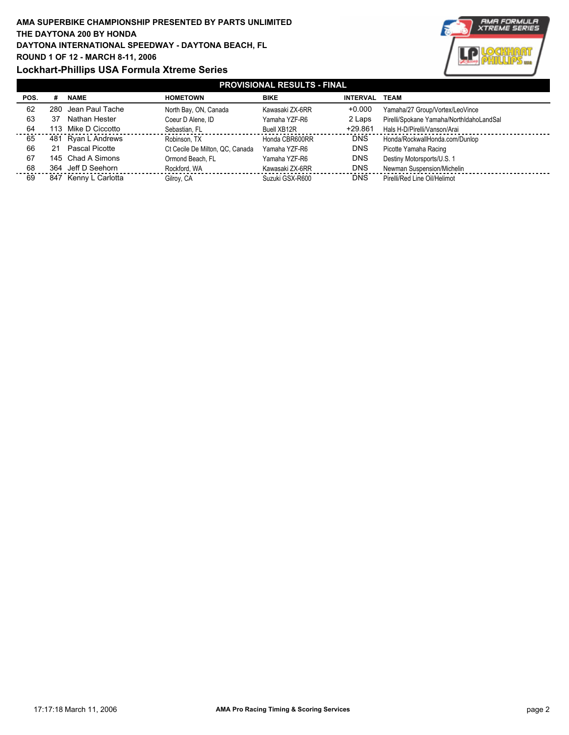## **AMA SUPERBIKE CHAMPIONSHIP PRESENTED BY PARTS UNLIMITED DAYTONA INTERNATIONAL SPEEDWAY - DAYTONA BEACH, FL ROUND 1 OF 12 - MARCH 8-11, 2006 Lockhart-Phillips USA Formula Xtreme Series THE DAYTONA 200 BY HONDA**



| <b>PROVISIONAL RESULTS - FINAL</b> |    |                      |                                 |                 |                 |                                          |  |  |
|------------------------------------|----|----------------------|---------------------------------|-----------------|-----------------|------------------------------------------|--|--|
| POS.                               | #  | <b>NAME</b>          | <b>HOMETOWN</b>                 | <b>BIKE</b>     | <b>INTERVAL</b> | TEAM                                     |  |  |
| 62                                 |    | 280 Jean Paul Tache  | North Bay, ON, Canada           | Kawasaki ZX-6RR | $+0.000$        | Yamaha/27 Group/Vortex/LeoVince          |  |  |
| 63                                 | 37 | Nathan Hester        | Coeur D Alene, ID               | Yamaha YZF-R6   | 2 Laps          | Pirelli/Spokane Yamaha/NorthIdahoLandSal |  |  |
| 64                                 |    | 113 Mike D Ciccotto  | Sebastian, FL                   | Buell XB12R     | $+29.861$       | Hals H-D/Pirelli/Vanson/Arai             |  |  |
| 65                                 |    | 481 Ryan L Andrews   | Robinson, TX                    | Honda CBR600RR  | <b>DNS</b>      | Honda/RockwallHonda.com/Dunlop           |  |  |
| 66                                 | 21 | Pascal Picotte       | Ct Cecile De Milton, QC, Canada | Yamaha YZF-R6   | <b>DNS</b>      | Picotte Yamaha Racing                    |  |  |
| 67                                 |    | 145 Chad A Simons    | Ormond Beach, FL                | Yamaha YZF-R6   | <b>DNS</b>      | Destiny Motorsports/U.S. 1               |  |  |
| 68                                 |    | 364 Jeff D Seehorn   | Rockford, WA                    | Kawasaki ZX-6RR | <b>DNS</b>      | Newman Suspension/Michelin               |  |  |
| 69                                 |    | 847 Kenny L Carlotta | Gilroy, CA                      | Suzuki GSX-R600 | <b>DNS</b>      | Pirelli/Red Line Oil/Helimot             |  |  |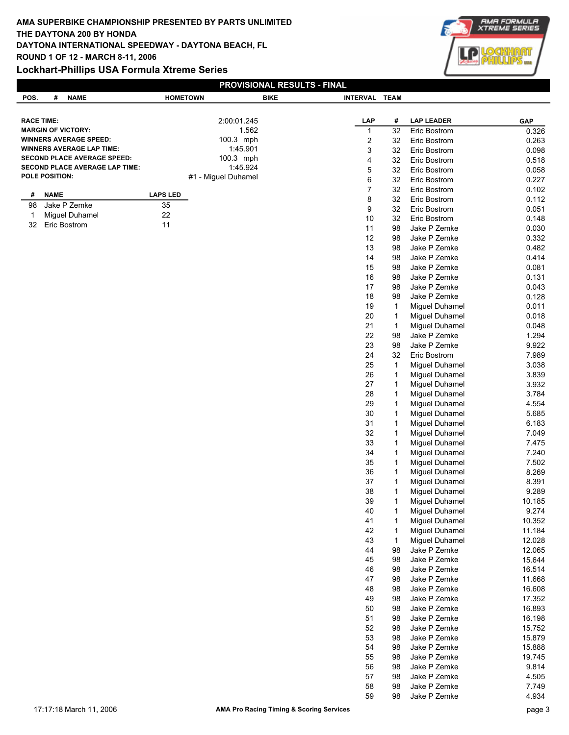## **Lockhart-Phillips USA Formula Xtreme Series**



| PROVISIONAL RESULTS - FINAL |                                                                      |                 |                                 |             |                         |              |                                  |                |
|-----------------------------|----------------------------------------------------------------------|-----------------|---------------------------------|-------------|-------------------------|--------------|----------------------------------|----------------|
| POS.                        | <b>NAME</b><br>#                                                     | <b>HOMETOWN</b> |                                 | <b>BIKE</b> | INTERVAL TEAM           |              |                                  |                |
|                             |                                                                      |                 |                                 |             |                         |              |                                  |                |
|                             | <b>RACE TIME:</b>                                                    |                 | 2:00:01.245                     |             | LAP                     | #            | <b>LAP LEADER</b>                | GAP            |
|                             | <b>MARGIN OF VICTORY:</b>                                            |                 | 1.562                           |             | $\mathbf{1}$            | 32           | Eric Bostrom                     | 0.326          |
|                             | <b>WINNERS AVERAGE SPEED:</b>                                        |                 | 100.3 mph                       |             | $\overline{\mathbf{c}}$ | 32           | Eric Bostrom                     | 0.263          |
|                             | <b>WINNERS AVERAGE LAP TIME:</b>                                     |                 | 1:45.901                        |             | 3                       | 32           | Eric Bostrom                     | 0.098          |
|                             | <b>SECOND PLACE AVERAGE SPEED:</b><br>SECOND PLACE AVERAGE LAP TIME: |                 | 100.3 mph                       |             | 4                       | 32           | Eric Bostrom                     | 0.518          |
|                             | POLE POSITION:                                                       |                 | 1:45.924<br>#1 - Miguel Duhamel |             | 5                       | 32           | Eric Bostrom                     | 0.058          |
|                             |                                                                      |                 |                                 |             | 6                       | 32           | Eric Bostrom                     | 0.227          |
| #                           | <b>NAME</b>                                                          | <b>LAPS LED</b> |                                 |             | $\overline{7}$          | 32           | Eric Bostrom                     | 0.102          |
| 98                          | Jake P Zemke                                                         | 35              |                                 |             | 8<br>9                  | 32<br>32     | Eric Bostrom                     | 0.112          |
| $\mathbf{1}$                | Miguel Duhamel                                                       | 22              |                                 |             | 10                      | 32           | Eric Bostrom<br>Eric Bostrom     | 0.051<br>0.148 |
| 32                          | Eric Bostrom                                                         | 11              |                                 |             | 11                      | 98           | Jake P Zemke                     | 0.030          |
|                             |                                                                      |                 |                                 |             | 12                      | 98           | Jake P Zemke                     | 0.332          |
|                             |                                                                      |                 |                                 |             | 13                      | 98           | Jake P Zemke                     | 0.482          |
|                             |                                                                      |                 |                                 |             | 14                      | 98           | Jake P Zemke                     | 0.414          |
|                             |                                                                      |                 |                                 |             | 15                      | 98           | Jake P Zemke                     | 0.081          |
|                             |                                                                      |                 |                                 |             | 16                      | 98           | Jake P Zemke                     | 0.131          |
|                             |                                                                      |                 |                                 |             | 17                      | 98           | Jake P Zemke                     | 0.043          |
|                             |                                                                      |                 |                                 |             | 18                      | 98           | Jake P Zemke                     | 0.128          |
|                             |                                                                      |                 |                                 |             | 19                      | $\mathbf{1}$ | Miguel Duhamel                   | 0.011          |
|                             |                                                                      |                 |                                 |             | 20                      | $\mathbf{1}$ | Miguel Duhamel                   | 0.018          |
|                             |                                                                      |                 |                                 |             | 21                      | $\mathbf{1}$ | Miguel Duhamel                   | 0.048          |
|                             |                                                                      |                 |                                 |             | 22                      | 98           | Jake P Zemke                     | 1.294          |
|                             |                                                                      |                 |                                 |             | 23                      | 98           | Jake P Zemke                     | 9.922          |
|                             |                                                                      |                 |                                 |             | 24                      | 32           | Eric Bostrom                     | 7.989          |
|                             |                                                                      |                 |                                 |             | 25                      | $\mathbf{1}$ | Miguel Duhamel                   | 3.038          |
|                             |                                                                      |                 |                                 |             | 26                      | $\mathbf{1}$ | Miguel Duhamel                   | 3.839          |
|                             |                                                                      |                 |                                 |             | 27                      | $\mathbf{1}$ | Miguel Duhamel                   | 3.932          |
|                             |                                                                      |                 |                                 |             | 28                      | 1            | Miguel Duhamel                   | 3.784          |
|                             |                                                                      |                 |                                 |             | 29                      | 1            | Miguel Duhamel                   | 4.554          |
|                             |                                                                      |                 |                                 |             | $30\,$                  | 1            | Miguel Duhamel                   | 5.685          |
|                             |                                                                      |                 |                                 |             | 31                      | 1            | Miguel Duhamel                   | 6.183          |
|                             |                                                                      |                 |                                 |             | 32                      | 1            | Miguel Duhamel                   | 7.049          |
|                             |                                                                      |                 |                                 |             | 33                      | $\mathbf{1}$ | Miguel Duhamel                   | 7.475          |
|                             |                                                                      |                 |                                 |             | 34<br>35                | 1<br>1       | Miguel Duhamel<br>Miguel Duhamel | 7.240<br>7.502 |
|                             |                                                                      |                 |                                 |             | 36                      | 1            | Miguel Duhamel                   | 8.269          |
|                             |                                                                      |                 |                                 |             | 37                      | 1            | Miguel Duhamel                   | 8.391          |
|                             |                                                                      |                 |                                 |             | 38                      | 1            | Miguel Duhamel                   | 9.289          |
|                             |                                                                      |                 |                                 |             | 39                      | 1            | Miguel Duhamel                   | 10.185         |
|                             |                                                                      |                 |                                 |             | $40\,$                  | 1            | Miguel Duhamel                   | 9.274          |
|                             |                                                                      |                 |                                 |             | 41                      | 1            | Miguel Duhamel                   | 10.352         |
|                             |                                                                      |                 |                                 |             | 42                      | 1            | Miguel Duhamel                   | 11.184         |
|                             |                                                                      |                 |                                 |             | 43                      | 1            | Miguel Duhamel                   | 12.028         |
|                             |                                                                      |                 |                                 |             | 44                      | 98           | Jake P Zemke                     | 12.065         |
|                             |                                                                      |                 |                                 |             | 45                      | 98           | Jake P Zemke                     | 15.644         |
|                             |                                                                      |                 |                                 |             | 46                      | 98           | Jake P Zemke                     | 16.514         |
|                             |                                                                      |                 |                                 |             | 47                      | 98           | Jake P Zemke                     | 11.668         |
|                             |                                                                      |                 |                                 |             | 48                      | 98           | Jake P Zemke                     | 16.608         |
|                             |                                                                      |                 |                                 |             | 49                      | 98           | Jake P Zemke                     | 17.352         |
|                             |                                                                      |                 |                                 |             | $50\,$                  | 98           | Jake P Zemke                     | 16.893         |
|                             |                                                                      |                 |                                 |             | 51                      | 98           | Jake P Zemke                     | 16.198         |
|                             |                                                                      |                 |                                 |             | 52                      | 98           | Jake P Zemke                     | 15.752         |
|                             |                                                                      |                 |                                 |             | 53                      | 98           | Jake P Zemke                     | 15.879         |
|                             |                                                                      |                 |                                 |             | 54                      | 98           | Jake P Zemke                     | 15.888         |
|                             |                                                                      |                 |                                 |             | 55                      | 98           | Jake P Zemke                     | 19.745         |
|                             |                                                                      |                 |                                 |             | 56                      | 98           | Jake P Zemke                     | 9.814          |
|                             |                                                                      |                 |                                 |             | 57                      | 98           | Jake P Zemke                     | 4.505          |
|                             |                                                                      |                 |                                 |             | 58<br>59                | 98<br>98     | Jake P Zemke<br>Jake P Zemke     | 7.749<br>4.934 |
|                             |                                                                      |                 |                                 |             |                         |              |                                  |                |